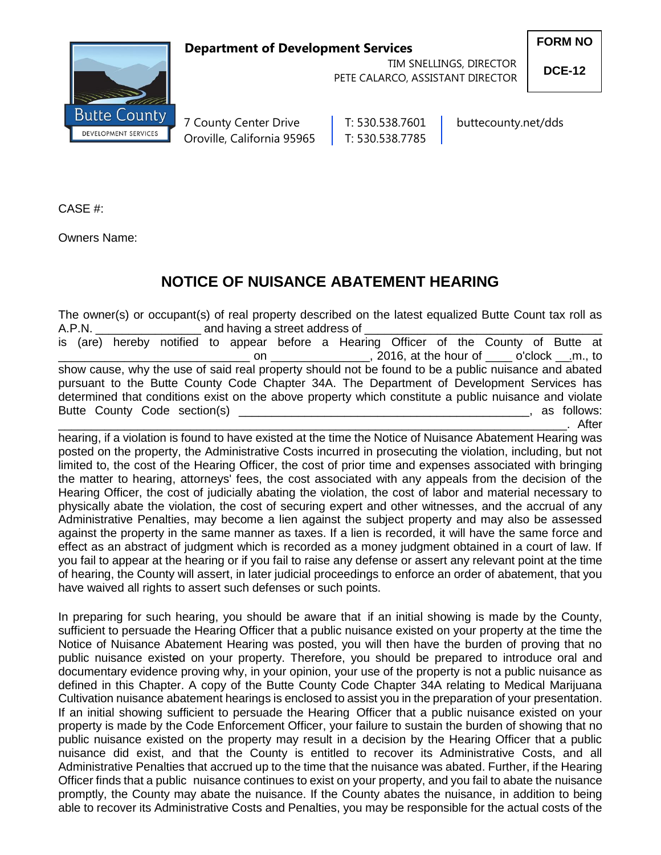## **Department of Development Services**



 TIM SNELLINGS, DIRECTOR PETE CALARCO, ASSISTANT DIRECTOR **FORM NO**

**DCE-12**

7 County Center Drive | T: 530.538.7601 | buttecounty.net/dds Oroville, California 95965 | T: 530.538.7785

CASE #:

Owners Name:

## **NOTICE OF NUISANCE ABATEMENT HEARING**

The owner(s) or occupant(s) of real property described on the latest equalized Butte Count tax roll as A.P.N. **Example 2.5 and having a street address of** is (are) hereby notified to appear before a Hearing Officer of the County of Butte at on \_\_\_\_\_\_\_\_\_\_\_\_\_\_\_\_\_, 2016, at the hour of \_\_\_\_ o'clock \_\_.m., to show cause, why the use of said real property should not be found to be a public nuisance and abated pursuant to the Butte County Code Chapter 34A. The Department of Development Services has determined that conditions exist on the above property which constitute a public nuisance and violate Butte County Code section(s) **Example 2** and the section of the section of the section of the section of the section of the section of the section of the section of the section of the section of the section of the section

\_\_\_\_\_\_\_\_\_\_\_\_\_\_\_\_\_\_\_\_\_\_\_\_\_\_\_\_\_\_\_\_\_\_\_\_\_\_\_\_\_\_\_\_\_\_\_\_\_\_\_\_\_\_\_\_\_\_\_\_\_\_\_\_\_\_\_\_\_\_\_\_\_\_\_\_\_. After hearing, if a violation is found to have existed at the time the Notice of Nuisance Abatement Hearing was posted on the property, the Administrative Costs incurred in prosecuting the violation, including, but not limited to, the cost of the Hearing Officer, the cost of prior time and expenses associated with bringing the matter to hearing, attorneys' fees, the cost associated with any appeals from the decision of the Hearing Officer, the cost of judicially abating the violation, the cost of labor and material necessary to physically abate the violation, the cost of securing expert and other witnesses, and the accrual of any Administrative Penalties, may become a lien against the subject property and may also be assessed against the property in the same manner as taxes. If a lien is recorded, it will have the same force and effect as an abstract of judgment which is recorded as a money judgment obtained in a court of law. If you fail to appear at the hearing or if you fail to raise any defense or assert any relevant point at the time of hearing, the County will assert, in later judicial proceedings to enforce an order of abatement, that you have waived all rights to assert such defenses or such points.

In preparing for such hearing, you should be aware that if an initial showing is made by the County, sufficient to persuade the Hearing Officer that a public nuisance existed on your property at the time the Notice of Nuisance Abatement Hearing was posted, you will then have the burden of proving that no public nuisance existed on your property. Therefore, you should be prepared to introduce oral and documentary evidence proving why, in your opinion, your use of the property is not a public nuisance as defined in this Chapter. A copy of the Butte County Code Chapter 34A relating to Medical Marijuana Cultivation nuisance abatement hearings is enclosed to assist you in the preparation of your presentation. If an initial showing sufficient to persuade the Hearing Officer that a public nuisance existed on your property is made by the Code Enforcement Officer, your failure to sustain the burden of showing that no public nuisance existed on the property may result in a decision by the Hearing Officer that a public nuisance did exist, and that the County is entitled to recover its Administrative Costs, and all Administrative Penalties that accrued up to the time that the nuisance was abated. Further, if the Hearing Officer finds that a public nuisance continues to exist on your property, and you fail to abate the nuisance promptly, the County may abate the nuisance. If the County abates the nuisance, in addition to being able to recover its Administrative Costs and Penalties, you may be responsible for the actual costs of the